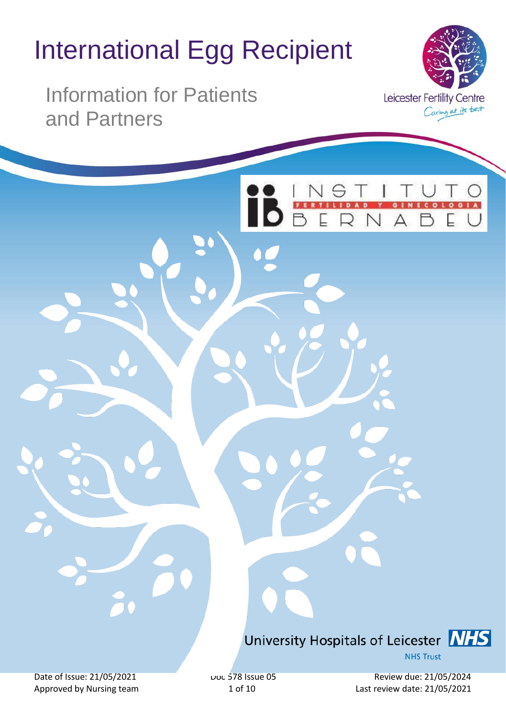# International Egg Recipient

Information for Patients and Partners



 $00$ 

 $0<sub>0</sub>$ 

# University Hospitals of Leicester **NHS**

**NHS Trust** 

Date of Issue: 21/05/2021 Date of Issue 05 Doc 578 Issue 05 Review due: 21/05/2024 Approved by Nursing team 1 of 10 Last review date: 21/05/2021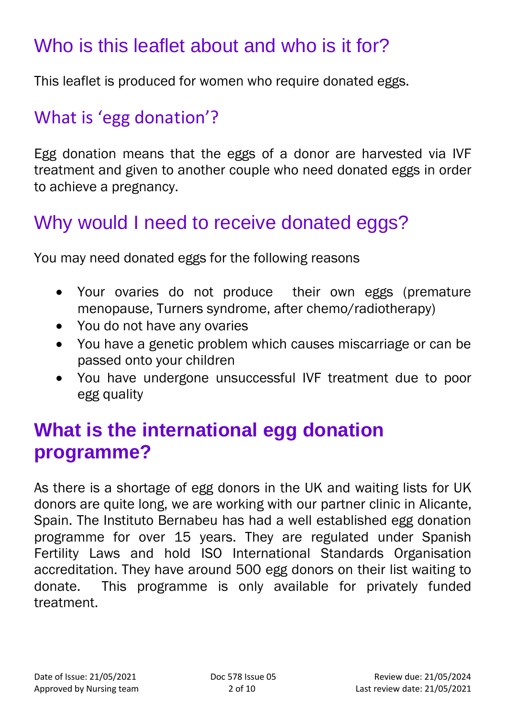# Who is this leaflet about and who is it for?

This leaflet is produced for women who require donated eggs.

#### What is 'egg donation'?

Egg donation means that the eggs of a donor are harvested via IVF treatment and given to another couple who need donated eggs in order to achieve a pregnancy.

#### Why would I need to receive donated eggs?

You may need donated eggs for the following reasons

- Your ovaries do not produce their own eggs (premature menopause, Turners syndrome, after chemo/radiotherapy)
- You do not have any ovaries
- You have a genetic problem which causes miscarriage or can be passed onto your children
- You have undergone unsuccessful IVF treatment due to poor egg quality

#### **What is the international egg donation programme?**

As there is a shortage of egg donors in the UK and waiting lists for UK donors are quite long, we are working with our partner clinic in Alicante, Spain. The Instituto Bernabeu has had a well established egg donation programme for over 15 years. They are regulated under Spanish Fertility Laws and hold ISO International Standards Organisation accreditation. They have around 500 egg donors on their list waiting to donate. This programme is only available for privately funded treatment.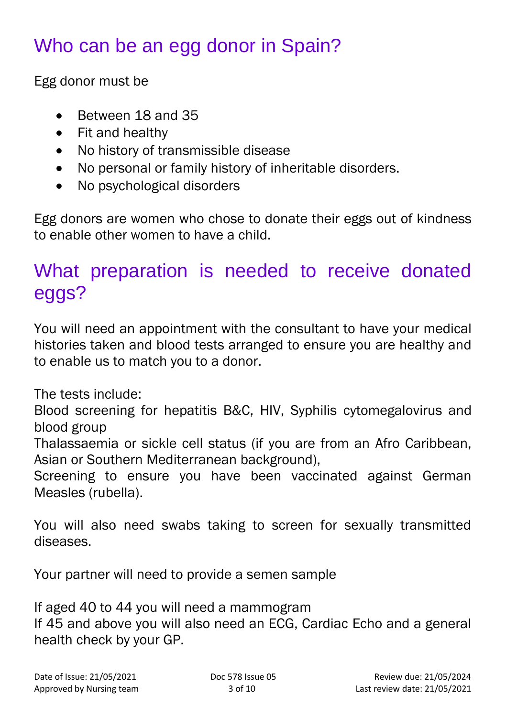# Who can be an egg donor in Spain?

Egg donor must be

- Between 18 and 35
- Fit and healthy
- No history of transmissible disease
- No personal or family history of inheritable disorders.
- No psychological disorders

Egg donors are women who chose to donate their eggs out of kindness to enable other women to have a child.

### What preparation is needed to receive donated eggs?

You will need an appointment with the consultant to have your medical histories taken and blood tests arranged to ensure you are healthy and to enable us to match you to a donor.

The tests include:

Blood screening for hepatitis B&C, HIV, Syphilis cytomegalovirus and blood group

Thalassaemia or sickle cell status (if you are from an Afro Caribbean, Asian or Southern Mediterranean background),

Screening to ensure you have been vaccinated against German Measles (rubella).

You will also need swabs taking to screen for sexually transmitted diseases.

Your partner will need to provide a semen sample

If aged 40 to 44 you will need a mammogram If 45 and above you will also need an ECG, Cardiac Echo and a general health check by your GP.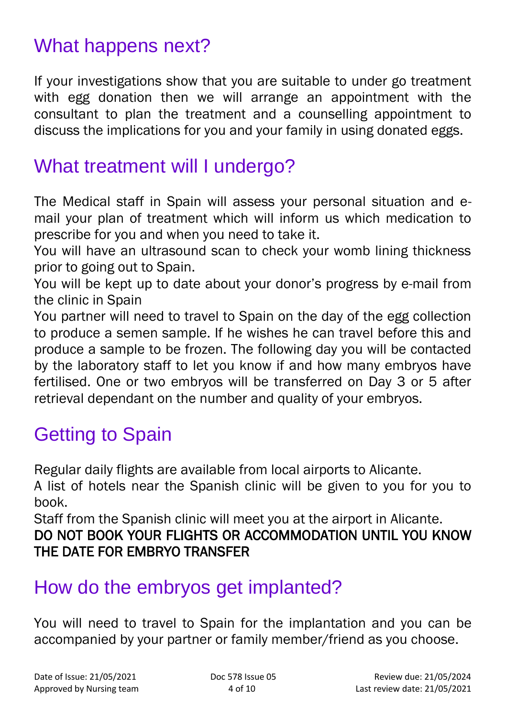# What happens next?

If your investigations show that you are suitable to under go treatment with egg donation then we will arrange an appointment with the consultant to plan the treatment and a counselling appointment to discuss the implications for you and your family in using donated eggs.

#### What treatment will I undergo?

The Medical staff in Spain will assess your personal situation and email your plan of treatment which will inform us which medication to prescribe for you and when you need to take it.

You will have an ultrasound scan to check your womb lining thickness prior to going out to Spain.

You will be kept up to date about your donor's progress by e-mail from the clinic in Spain

You partner will need to travel to Spain on the day of the egg collection to produce a semen sample. If he wishes he can travel before this and produce a sample to be frozen. The following day you will be contacted by the laboratory staff to let you know if and how many embryos have fertilised. One or two embryos will be transferred on Day 3 or 5 after retrieval dependant on the number and quality of your embryos.

# Getting to Spain

Regular daily flights are available from local airports to Alicante.

A list of hotels near the Spanish clinic will be given to you for you to book.

Staff from the Spanish clinic will meet you at the airport in Alicante.

#### DO NOT BOOK YOUR FLIGHTS OR ACCOMMODATION UNTIL YOU KNOW THE DATE FOR EMBRYO TRANSFER

### How do the embryos get implanted?

You will need to travel to Spain for the implantation and you can be accompanied by your partner or family member/friend as you choose.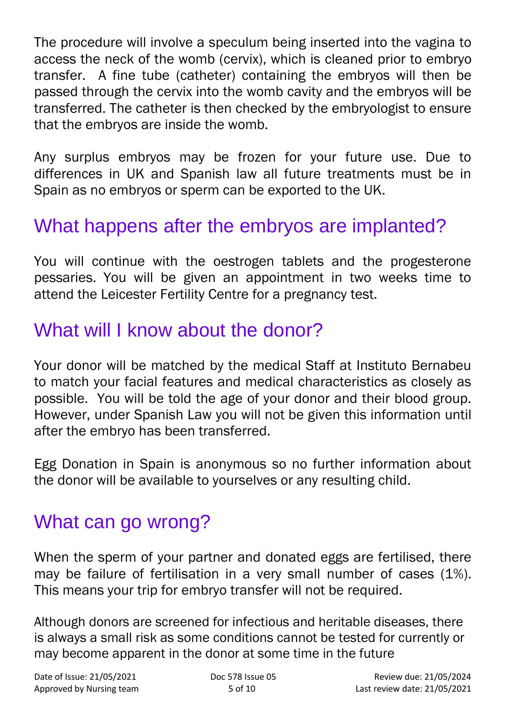The procedure will involve a speculum being inserted into the vagina to access the neck of the womb (cervix), which is cleaned prior to embryo transfer. A fine tube (catheter) containing the embryos will then be passed through the cervix into the womb cavity and the embryos will be transferred. The catheter is then checked by the embryologist to ensure that the embryos are inside the womb.

Any surplus embryos may be frozen for your future use. Due to differences in UK and Spanish law all future treatments must be in Spain as no embryos or sperm can be exported to the UK.

### What happens after the embryos are implanted?

You will continue with the oestrogen tablets and the progesterone pessaries. You will be given an appointment in two weeks time to attend the Leicester Fertility Centre for a pregnancy test.

### What will I know about the donor?

Your donor will be matched by the medical Staff at Instituto Bernabeu to match your facial features and medical characteristics as closely as possible. You will be told the age of your donor and their blood group. However, under Spanish Law you will not be given this information until after the embryo has been transferred.

Egg Donation in Spain is anonymous so no further information about the donor will be available to yourselves or any resulting child.

#### What can go wrong?

When the sperm of your partner and donated eggs are fertilised, there may be failure of fertilisation in a very small number of cases (1%). This means your trip for embryo transfer will not be required.

Although donors are screened for infectious and heritable diseases, there is always a small risk as some conditions cannot be tested for currently or may become apparent in the donor at some time in the future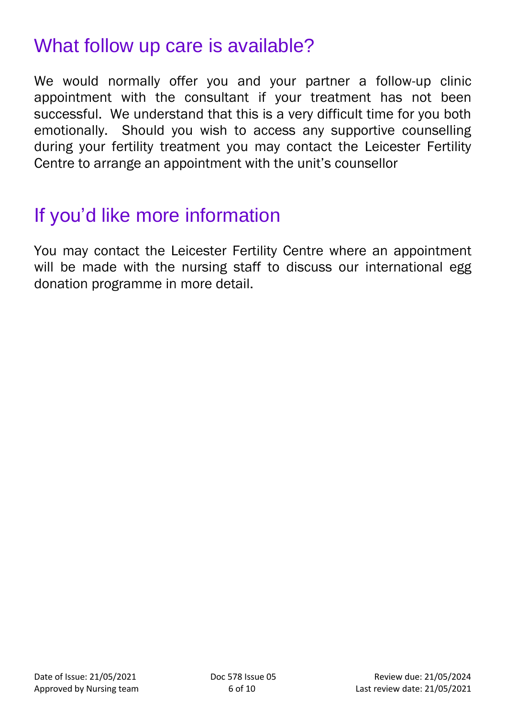### What follow up care is available?

We would normally offer you and your partner a follow-up clinic appointment with the consultant if your treatment has not been successful. We understand that this is a very difficult time for you both emotionally. Should you wish to access any supportive counselling during your fertility treatment you may contact the Leicester Fertility Centre to arrange an appointment with the unit's counsellor

### If you'd like more information

You may contact the Leicester Fertility Centre where an appointment will be made with the nursing staff to discuss our international egg donation programme in more detail.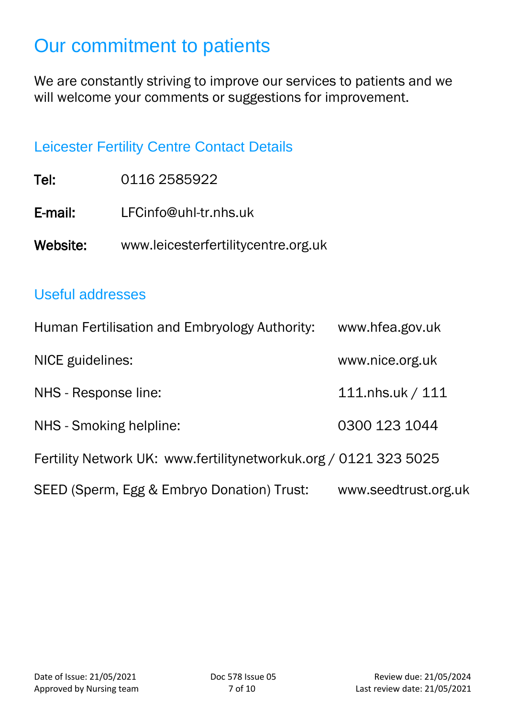## Our commitment to patients

We are constantly striving to improve our services to patients and we will welcome your comments or suggestions for improvement.

#### Leicester Fertility Centre Contact Details

| Tel:     | 0116 2585922                        |
|----------|-------------------------------------|
| E-mail:  | LFCinfo@uhl-tr.nhs.uk               |
| Website: | www.leicesterfertilitycentre.org.uk |

#### Useful addresses

| Human Fertilisation and Embryology Authority:                    | www.hfea.gov.uk      |
|------------------------------------------------------------------|----------------------|
| NICE guidelines:                                                 | www.nice.org.uk      |
| NHS - Response line:                                             | 111.nhs.uk / 111     |
| NHS - Smoking helpline:                                          | 0300 123 1044        |
| Fertility Network UK: www.fertilitynetworkuk.org / 0121 323 5025 |                      |
| SEED (Sperm, Egg & Embryo Donation) Trust:                       | www.seedtrust.org.uk |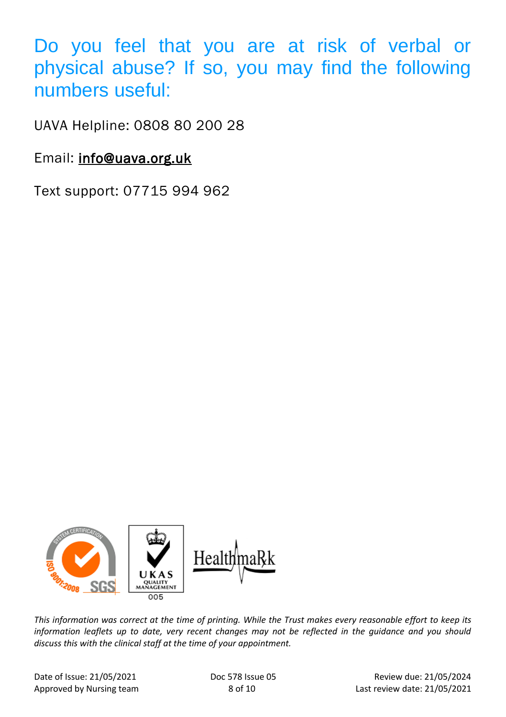Do you feel that you are at risk of verbal or physical abuse? If so, you may find the following numbers useful:

UAVA Helpline: 0808 80 200 28

Email: [info@uava.org.uk](mailto:info@uava.org.uk)

Text support: 07715 994 962



*This information was correct at the time of printing. While the Trust makes every reasonable effort to keep its information leaflets up to date, very recent changes may not be reflected in the guidance and you should discuss this with the clinical staff at the time of your appointment.*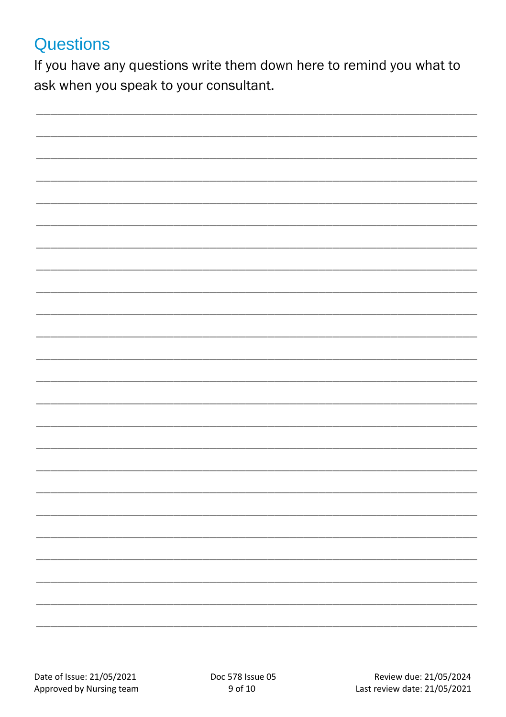#### **Questions**

If you have any questions write them down here to remind you what to ask when you speak to your consultant.